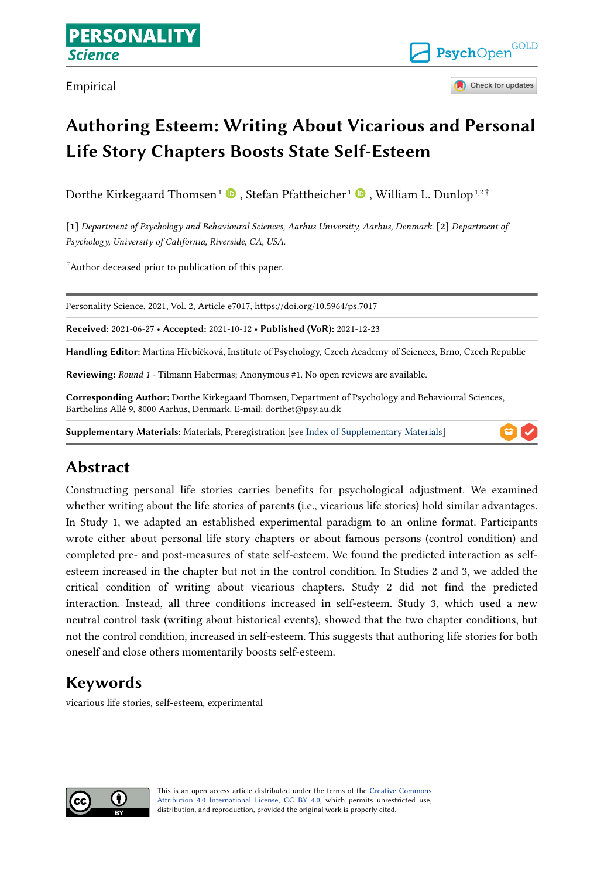Empirical



Check for updates

# **Authoring Esteem: Writing About Vicarious and Personal Life Story Chapters Boosts State Self-Esteem**

Dorthe Kirkegaard Thomsen $^1$  $^1$   $\bullet$  [,](https://orcid.org/0000-0001-5161-6911) Stefan Pfattheicher $^1$   $\bullet$  , William L. Dunlop $^{1,2\, \dagger}$ 

**[1]** *Department of Psychology and Behavioural Sciences, Aarhus University, Aarhus, Denmark.* **[2]** *Department of Psychology, University of California, Riverside, CA, USA.* 

†Author deceased prior to publication of this paper.

Personality Science, 2021, Vol. 2, Article e7017, https://doi.org/10.5964/ps.7017

**Received:** 2021-06-27 • **Accepted:** 2021-10-12 • **Published (VoR):** 2021-12-23

**Handling Editor:** Martina Hřebíčková, Institute of Psychology, Czech Academy of Sciences, Brno, Czech Republic

**Reviewing:** *Round 1 -* Tilmann Habermas; Anonymous #1. No open reviews are available.

**Corresponding Author:** Dorthe Kirkegaard Thomsen, Department of Psychology and Behavioural Sciences, Bartholins Allé 9, 8000 Aarhus, Denmark. E-mail: dorthet@psy.au.dk

**Supplementary Materials:** Materials, Preregistration [see [Index of Supplementary Materials\]](#page-19-0)

# **Abstract**

Constructing personal life stories carries benefits for psychological adjustment. We examined whether writing about the life stories of parents (i.e., vicarious life stories) hold similar advantages. In Study 1, we adapted an established experimental paradigm to an online format. Participants wrote either about personal life story chapters or about famous persons (control condition) and completed pre- and post-measures of state self-esteem. We found the predicted interaction as selfesteem increased in the chapter but not in the control condition. In Studies 2 and 3, we added the critical condition of writing about vicarious chapters. Study 2 did not find the predicted interaction. Instead, all three conditions increased in self-esteem. Study 3, which used a new neutral control task (writing about historical events), showed that the two chapter conditions, but not the control condition, increased in self-esteem. This suggests that authoring life stories for both oneself and close others momentarily boosts self-esteem.

# **Keywords**

vicarious life stories, self-esteem, experimental

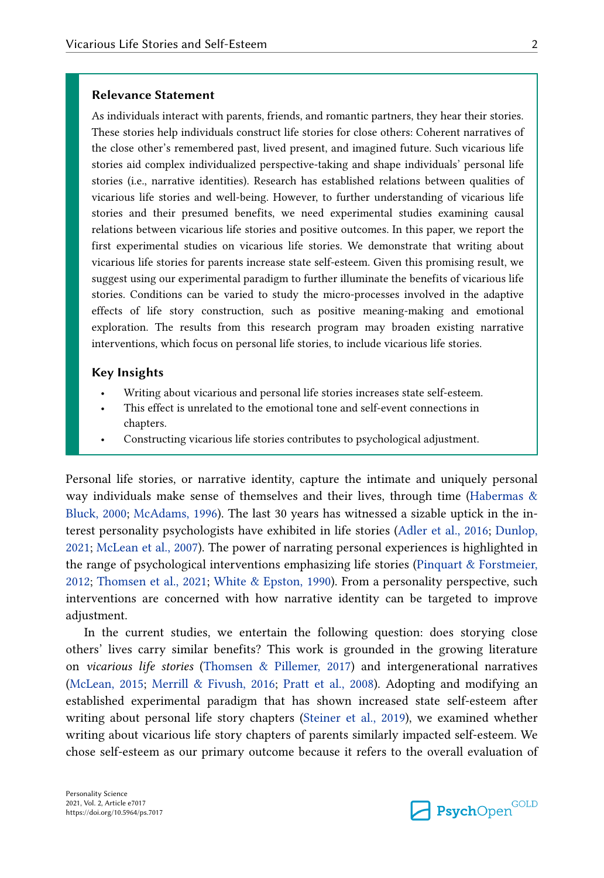#### **Relevance Statement**

As individuals interact with parents, friends, and romantic partners, they hear their stories. These stories help individuals construct life stories for close others: Coherent narratives of the close other's remembered past, lived present, and imagined future. Such vicarious life stories aid complex individualized perspective-taking and shape individuals' personal life stories (i.e., narrative identities). Research has established relations between qualities of vicarious life stories and well-being. However, to further understanding of vicarious life stories and their presumed benefits, we need experimental studies examining causal relations between vicarious life stories and positive outcomes. In this paper, we report the first experimental studies on vicarious life stories. We demonstrate that writing about vicarious life stories for parents increase state self-esteem. Given this promising result, we suggest using our experimental paradigm to further illuminate the benefits of vicarious life stories. Conditions can be varied to study the micro-processes involved in the adaptive effects of life story construction, such as positive meaning-making and emotional exploration. The results from this research program may broaden existing narrative interventions, which focus on personal life stories, to include vicarious life stories.

#### **Key Insights**

- Writing about vicarious and personal life stories increases state self-esteem.
- This effect is unrelated to the emotional tone and self-event connections in chapters.
- Constructing vicarious life stories contributes to psychological adjustment.

Personal life stories, or narrative identity, capture the intimate and uniquely personal way individuals make sense of themselves and their lives, through time (Habermas  $\&$ [Bluck, 2000](#page-21-0); [McAdams, 1996](#page-21-0)). The last 30 years has witnessed a sizable uptick in the interest personality psychologists have exhibited in life stories [\(Adler et al., 2016](#page-20-0); [Dunlop,](#page-20-0)  [2021;](#page-20-0) [McLean et al., 2007](#page-22-0)). The power of narrating personal experiences is highlighted in the range of psychological interventions emphasizing life stories [\(Pinquart & Forstmeier,](#page-22-0)  [2012;](#page-22-0) [Thomsen et al., 2021](#page-23-0); [White & Epston, 1990](#page-23-0)). From a personality perspective, such interventions are concerned with how narrative identity can be targeted to improve adjustment.

In the current studies, we entertain the following question: does storying close others' lives carry similar benefits? This work is grounded in the growing literature on *vicarious life stories* ([Thomsen & Pillemer, 2017\)](#page-23-0) and intergenerational narratives [\(McLean, 2015](#page-21-0); [Merrill & Fivush, 2016](#page-22-0); [Pratt et al., 2008\)](#page-22-0). Adopting and modifying an established experimental paradigm that has shown increased state self-esteem after writing about personal life story chapters [\(Steiner et al., 2019\)](#page-23-0), we examined whether writing about vicarious life story chapters of parents similarly impacted self-esteem. We chose self-esteem as our primary outcome because it refers to the overall evaluation of

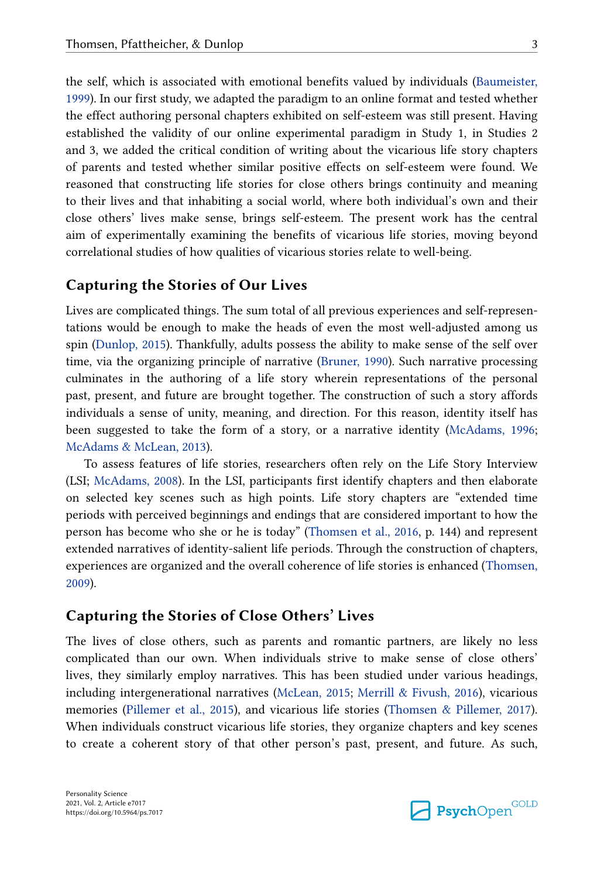the self, which is associated with emotional benefits valued by individuals ([Baumeister,](#page-20-0)  [1999\)](#page-20-0). In our first study, we adapted the paradigm to an online format and tested whether the effect authoring personal chapters exhibited on self-esteem was still present. Having established the validity of our online experimental paradigm in Study 1, in Studies 2 and 3, we added the critical condition of writing about the vicarious life story chapters of parents and tested whether similar positive effects on self-esteem were found. We reasoned that constructing life stories for close others brings continuity and meaning to their lives and that inhabiting a social world, where both individual's own and their close others' lives make sense, brings self-esteem. The present work has the central aim of experimentally examining the benefits of vicarious life stories, moving beyond correlational studies of how qualities of vicarious stories relate to well-being.

### **Capturing the Stories of Our Lives**

Lives are complicated things. The sum total of all previous experiences and self-representations would be enough to make the heads of even the most well-adjusted among us spin [\(Dunlop, 2015\)](#page-20-0). Thankfully, adults possess the ability to make sense of the self over time, via the organizing principle of narrative ([Bruner, 1990\)](#page-20-0). Such narrative processing culminates in the authoring of a life story wherein representations of the personal past, present, and future are brought together. The construction of such a story affords individuals a sense of unity, meaning, and direction. For this reason, identity itself has been suggested to take the form of a story, or a narrative identity [\(McAdams, 1996](#page-21-0); [McAdams & McLean, 2013\)](#page-21-0).

To assess features of life stories, researchers often rely on the Life Story Interview (LSI; [McAdams, 2008\)](#page-21-0). In the LSI, participants first identify chapters and then elaborate on selected key scenes such as high points. Life story chapters are "extended time periods with perceived beginnings and endings that are considered important to how the person has become who she or he is today" ([Thomsen et al., 2016](#page-23-0), p. 144) and represent extended narratives of identity-salient life periods. Through the construction of chapters, experiences are organized and the overall coherence of life stories is enhanced [\(Thomsen,](#page-23-0)  [2009\)](#page-23-0).

### **Capturing the Stories of Close Others' Lives**

The lives of close others, such as parents and romantic partners, are likely no less complicated than our own. When individuals strive to make sense of close others' lives, they similarly employ narratives. This has been studied under various headings, including intergenerational narratives ([McLean, 2015](#page-21-0); [Merrill & Fivush, 2016\)](#page-22-0), vicarious memories ([Pillemer et al., 2015](#page-22-0)), and vicarious life stories ([Thomsen & Pillemer, 2017\)](#page-23-0). When individuals construct vicarious life stories, they organize chapters and key scenes to create a coherent story of that other person's past, present, and future. As such,

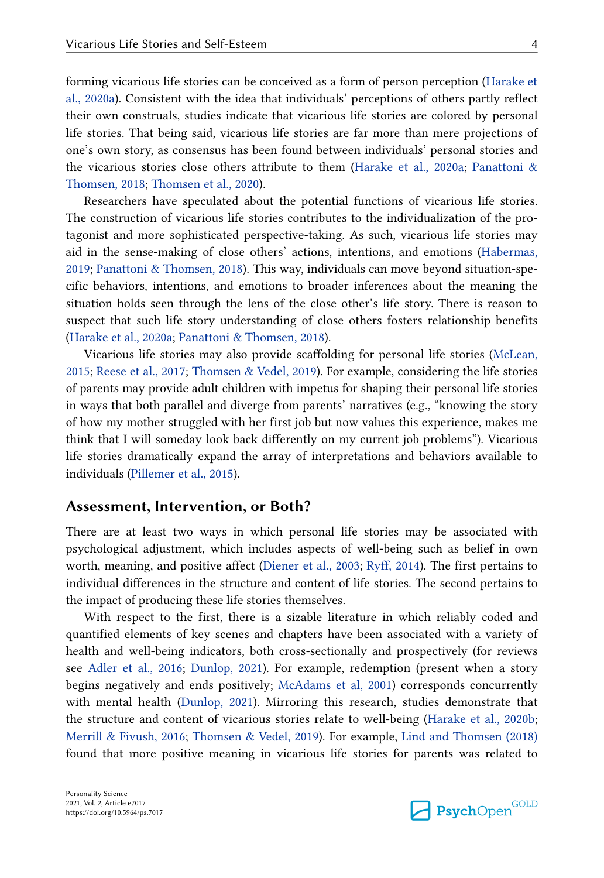forming vicarious life stories can be conceived as a form of person perception ([Harake et](#page-21-0)  [al., 2020a\)](#page-21-0). Consistent with the idea that individuals' perceptions of others partly reflect their own construals, studies indicate that vicarious life stories are colored by personal life stories. That being said, vicarious life stories are far more than mere projections of one's own story, as consensus has been found between individuals' personal stories and the vicarious stories close others attribute to them ([Harake et al., 2020a](#page-21-0); [Panattoni &](#page-22-0)  [Thomsen, 2018](#page-22-0); [Thomsen et al., 2020\)](#page-23-0).

Researchers have speculated about the potential functions of vicarious life stories. The construction of vicarious life stories contributes to the individualization of the protagonist and more sophisticated perspective-taking. As such, vicarious life stories may aid in the sense-making of close others' actions, intentions, and emotions [\(Habermas,](#page-21-0)  [2019;](#page-21-0) [Panattoni & Thomsen, 2018](#page-22-0)). This way, individuals can move beyond situation-specific behaviors, intentions, and emotions to broader inferences about the meaning the situation holds seen through the lens of the close other's life story. There is reason to suspect that such life story understanding of close others fosters relationship benefits ([Harake et al., 2020a;](#page-21-0) [Panattoni & Thomsen, 2018](#page-22-0)).

Vicarious life stories may also provide scaffolding for personal life stories [\(McLean,](#page-21-0)  [2015;](#page-21-0) [Reese et al., 2017;](#page-22-0) [Thomsen & Vedel, 2019](#page-23-0)). For example, considering the life stories of parents may provide adult children with impetus for shaping their personal life stories in ways that both parallel and diverge from parents' narratives (e.g., "knowing the story of how my mother struggled with her first job but now values this experience, makes me think that I will someday look back differently on my current job problems"). Vicarious life stories dramatically expand the array of interpretations and behaviors available to individuals ([Pillemer et al., 2015\)](#page-22-0).

#### **Assessment, Intervention, or Both?**

There are at least two ways in which personal life stories may be associated with psychological adjustment, which includes aspects of well-being such as belief in own worth, meaning, and positive affect ([Diener et al., 2003;](#page-20-0) [Ryff, 2014](#page-22-0)). The first pertains to individual differences in the structure and content of life stories. The second pertains to the impact of producing these life stories themselves.

With respect to the first, there is a sizable literature in which reliably coded and quantified elements of key scenes and chapters have been associated with a variety of health and well-being indicators, both cross-sectionally and prospectively (for reviews see [Adler et al., 2016](#page-20-0); [Dunlop, 2021](#page-20-0)). For example, redemption (present when a story begins negatively and ends positively; [McAdams et al, 2001\)](#page-21-0) corresponds concurrently with mental health [\(Dunlop, 2021](#page-20-0)). Mirroring this research, studies demonstrate that the structure and content of vicarious stories relate to well-being [\(Harake et al., 2020b](#page-21-0); [Merrill & Fivush, 2016;](#page-22-0) [Thomsen & Vedel, 2019\)](#page-23-0). For example, [Lind and Thomsen \(2018\)](#page-21-0)  found that more positive meaning in vicarious life stories for parents was related to

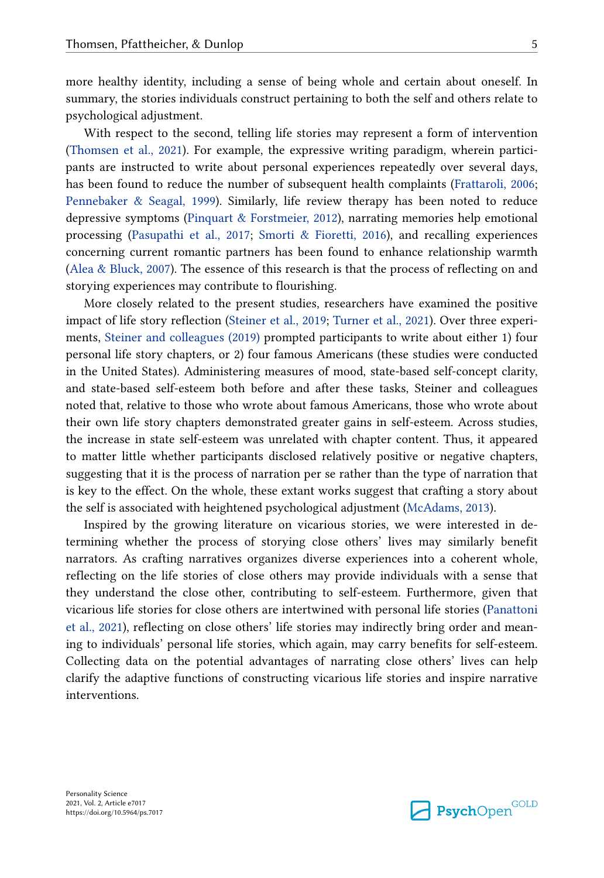more healthy identity, including a sense of being whole and certain about oneself. In summary, the stories individuals construct pertaining to both the self and others relate to psychological adjustment.

With respect to the second, telling life stories may represent a form of intervention [\(Thomsen et al., 2021](#page-23-0)). For example, the expressive writing paradigm, wherein participants are instructed to write about personal experiences repeatedly over several days, has been found to reduce the number of subsequent health complaints [\(Frattaroli, 2006](#page-20-0); [Pennebaker & Seagal, 1999\)](#page-22-0). Similarly, life review therapy has been noted to reduce depressive symptoms [\(Pinquart & Forstmeier, 2012\)](#page-22-0), narrating memories help emotional processing [\(Pasupathi et al., 2017;](#page-22-0) [Smorti & Fioretti, 2016](#page-22-0)), and recalling experiences concerning current romantic partners has been found to enhance relationship warmth [\(Alea & Bluck, 2007](#page-20-0)). The essence of this research is that the process of reflecting on and storying experiences may contribute to flourishing.

More closely related to the present studies, researchers have examined the positive impact of life story reflection ([Steiner et al., 2019;](#page-23-0) [Turner et al., 2021\)](#page-23-0). Over three experiments, [Steiner and colleagues \(2019\)](#page-23-0) prompted participants to write about either 1) four personal life story chapters, or 2) four famous Americans (these studies were conducted in the United States). Administering measures of mood, state-based self-concept clarity, and state-based self-esteem both before and after these tasks, Steiner and colleagues noted that, relative to those who wrote about famous Americans, those who wrote about their own life story chapters demonstrated greater gains in self-esteem. Across studies, the increase in state self-esteem was unrelated with chapter content. Thus, it appeared to matter little whether participants disclosed relatively positive or negative chapters, suggesting that it is the process of narration per se rather than the type of narration that is key to the effect. On the whole, these extant works suggest that crafting a story about the self is associated with heightened psychological adjustment [\(McAdams, 2013](#page-21-0)).

Inspired by the growing literature on vicarious stories, we were interested in determining whether the process of storying close others' lives may similarly benefit narrators. As crafting narratives organizes diverse experiences into a coherent whole, reflecting on the life stories of close others may provide individuals with a sense that they understand the close other, contributing to self-esteem. Furthermore, given that vicarious life stories for close others are intertwined with personal life stories [\(Panattoni](#page-22-0)  [et al., 2021](#page-22-0)), reflecting on close others' life stories may indirectly bring order and meaning to individuals' personal life stories, which again, may carry benefits for self-esteem. Collecting data on the potential advantages of narrating close others' lives can help clarify the adaptive functions of constructing vicarious life stories and inspire narrative interventions.

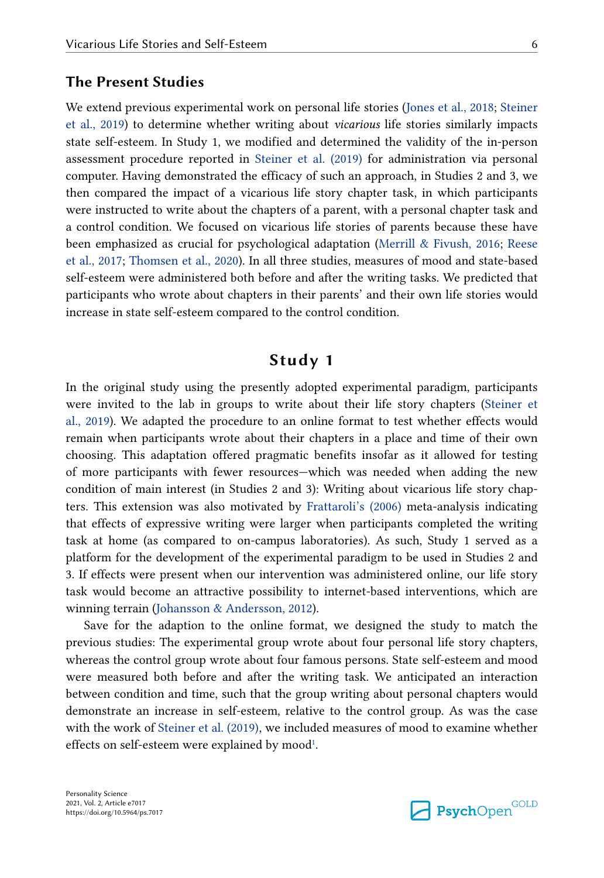### **The Present Studies**

We extend previous experimental work on personal life stories ([Jones et al., 2018;](#page-21-0) [Steiner](#page-23-0)  [et al., 2019](#page-23-0)) to determine whether writing about *vicarious* life stories similarly impacts state self-esteem. In Study 1, we modified and determined the validity of the in-person assessment procedure reported in [Steiner et al. \(2019\)](#page-23-0) for administration via personal computer. Having demonstrated the efficacy of such an approach, in Studies 2 and 3, we then compared the impact of a vicarious life story chapter task, in which participants were instructed to write about the chapters of a parent, with a personal chapter task and a control condition. We focused on vicarious life stories of parents because these have been emphasized as crucial for psychological adaptation ([Merrill & Fivush, 2016;](#page-22-0) [Reese](#page-22-0)  [et al., 2017;](#page-22-0) [Thomsen et al., 2020\)](#page-23-0). In all three studies, measures of mood and state-based self-esteem were administered both before and after the writing tasks. We predicted that participants who wrote about chapters in their parents' and their own life stories would increase in state self-esteem compared to the control condition.

# **Study 1**

In the original study using the presently adopted experimental paradigm, participants were invited to the lab in groups to write about their life story chapters ([Steiner et](#page-23-0)  [al., 2019\)](#page-23-0). We adapted the procedure to an online format to test whether effects would remain when participants wrote about their chapters in a place and time of their own choosing. This adaptation offered pragmatic benefits insofar as it allowed for testing of more participants with fewer resources—which was needed when adding the new condition of main interest (in Studies 2 and 3): Writing about vicarious life story chapters. This extension was also motivated by [Frattaroli's \(2006\)](#page-20-0) meta-analysis indicating that effects of expressive writing were larger when participants completed the writing task at home (as compared to on-campus laboratories). As such, Study 1 served as a platform for the development of the experimental paradigm to be used in Studies 2 and 3. If effects were present when our intervention was administered online, our life story task would become an attractive possibility to internet-based interventions, which are winning terrain ([Johansson & Andersson, 2012](#page-21-0)).

Save for the adaption to the online format, we designed the study to match the previous studies: The experimental group wrote about four personal life story chapters, whereas the control group wrote about four famous persons. State self-esteem and mood were measured both before and after the writing task. We anticipated an interaction between condition and time, such that the group writing about personal chapters would demonstrate an increase in self-esteem, relative to the control group. As was the case with the work of [Steiner et al. \(2019\),](#page-23-0) we included measures of mood to examine whether effects on self-esteem were explained by mood $^{\rm 1}.$  $^{\rm 1}.$  $^{\rm 1}.$ 

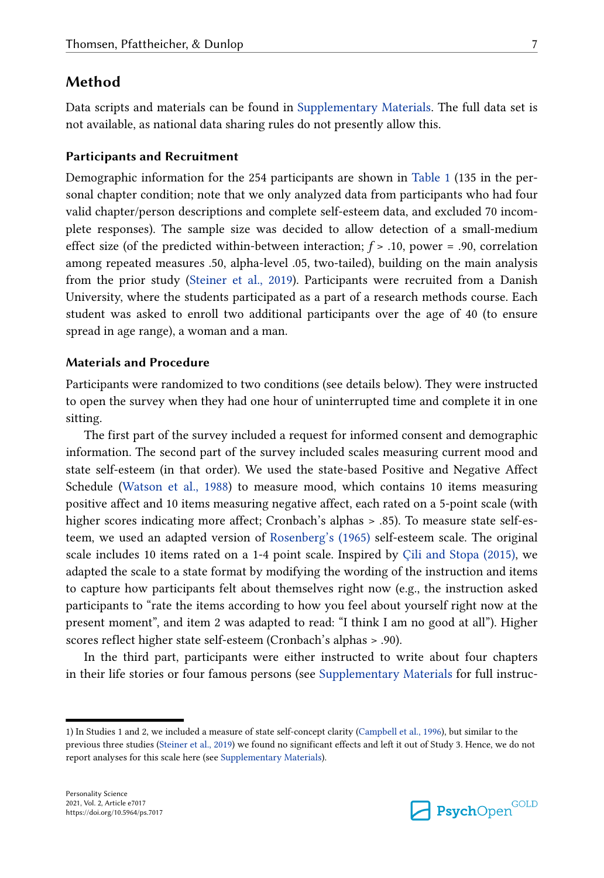### <span id="page-6-0"></span>**Method**

Data scripts and materials can be found in [Supplementary Materials.](#page-19-0) The full data set is not available, as national data sharing rules do not presently allow this.

#### **Participants and Recruitment**

Demographic information for the 254 participants are shown in [Table 1](#page-7-0) (135 in the personal chapter condition; note that we only analyzed data from participants who had four valid chapter/person descriptions and complete self-esteem data, and excluded 70 incomplete responses). The sample size was decided to allow detection of a small-medium effect size (of the predicted within-between interaction; *f* > .10, power = .90, correlation among repeated measures .50, alpha-level .05, two-tailed), building on the main analysis from the prior study ([Steiner et al., 2019\)](#page-23-0). Participants were recruited from a Danish University, where the students participated as a part of a research methods course. Each student was asked to enroll two additional participants over the age of 40 (to ensure spread in age range), a woman and a man.

#### **Materials and Procedure**

Participants were randomized to two conditions (see details below). They were instructed to open the survey when they had one hour of uninterrupted time and complete it in one sitting.

The first part of the survey included a request for informed consent and demographic information. The second part of the survey included scales measuring current mood and state self-esteem (in that order). We used the state-based Positive and Negative Affect Schedule ([Watson et al., 1988\)](#page-23-0) to measure mood, which contains 10 items measuring positive affect and 10 items measuring negative affect, each rated on a 5-point scale (with higher scores indicating more affect; Cronbach's alphas > .85). To measure state self-esteem, we used an adapted version of [Rosenberg's \(1965\)](#page-22-0) self-esteem scale. The original scale includes 10 items rated on a 1-4 point scale. Inspired by [Çili and Stopa \(2015\)](#page-20-0), we adapted the scale to a state format by modifying the wording of the instruction and items to capture how participants felt about themselves right now (e.g., the instruction asked participants to "rate the items according to how you feel about yourself right now at the present moment", and item 2 was adapted to read: "I think I am no good at all"). Higher scores reflect higher state self-esteem (Cronbach's alphas > .90).

In the third part, participants were either instructed to write about four chapters in their life stories or four famous persons (see [Supplementary Materials](#page-19-0) for full instruc-

<sup>1)</sup> In Studies 1 and 2, we included a measure of state self-concept clarity [\(Campbell et al., 1996](#page-20-0)), but similar to the previous three studies [\(Steiner et al., 2019\)](#page-23-0) we found no significant effects and left it out of Study 3. Hence, we do not report analyses for this scale here (see [Supplementary Materials](#page-19-0)).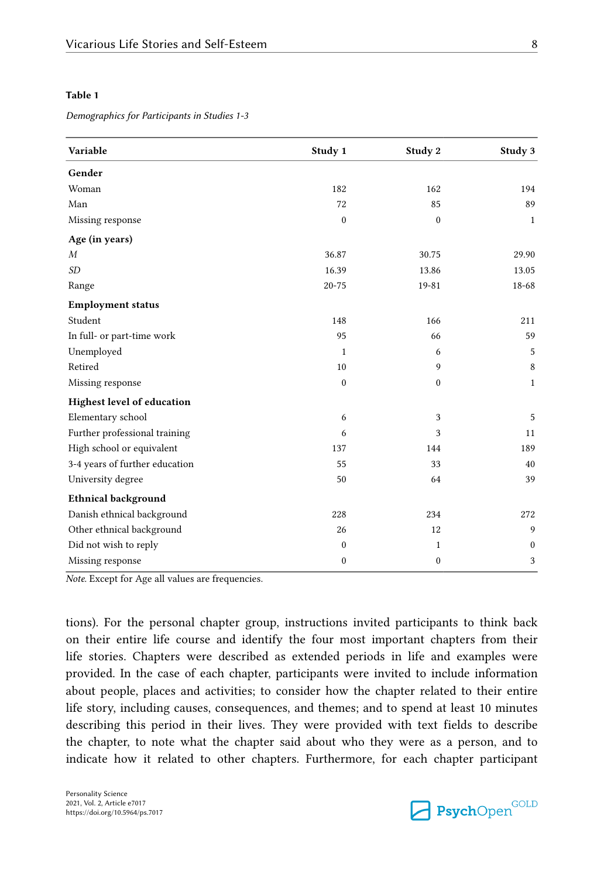#### <span id="page-7-0"></span>**Table 1**

*Demographics for Participants in Studies 1-3*

| Variable                       | Study 1      | Study 2          | Study 3      |
|--------------------------------|--------------|------------------|--------------|
| Gender                         |              |                  |              |
| Woman                          | 182          | 162              | 194          |
| Man                            | 72           | 85               | 89           |
| Missing response               | $\mathbf{0}$ | $\mathbf{0}$     | $\mathbf{1}$ |
| Age (in years)                 |              |                  |              |
| $\boldsymbol{M}$               | 36.87        | 30.75            | 29.90        |
| <b>SD</b>                      | 16.39        | 13.86            | 13.05        |
| Range                          | $20 - 75$    | 19-81            | 18-68        |
| <b>Employment status</b>       |              |                  |              |
| Student                        | 148          | 166              | 211          |
| In full- or part-time work     | 95           | 66               | 59           |
| Unemployed                     | 1            | 6                | 5            |
| Retired                        | 10           | $\overline{9}$   | $\,8\,$      |
| Missing response               | $\mathbf{0}$ | $\mathbf{0}$     | $\mathbf{1}$ |
| Highest level of education     |              |                  |              |
| Elementary school              | 6            | 3                | 5            |
| Further professional training  | 6            | 3                | 11           |
| High school or equivalent      | 137          | 144              | 189          |
| 3-4 years of further education | 55           | 33               | 40           |
| University degree              | 50           | 64               | 39           |
| <b>Ethnical background</b>     |              |                  |              |
| Danish ethnical background     | 228          | 234              | 272          |
| Other ethnical background      | 26           | 12               | 9            |
| Did not wish to reply          | $\mathbf{0}$ | $\mathbf{1}$     | $\mathbf{0}$ |
| Missing response               | 0            | $\boldsymbol{0}$ | 3            |

*Note.* Except for Age all values are frequencies.

tions). For the personal chapter group, instructions invited participants to think back on their entire life course and identify the four most important chapters from their life stories. Chapters were described as extended periods in life and examples were provided. In the case of each chapter, participants were invited to include information about people, places and activities; to consider how the chapter related to their entire life story, including causes, consequences, and themes; and to spend at least 10 minutes describing this period in their lives. They were provided with text fields to describe the chapter, to note what the chapter said about who they were as a person, and to indicate how it related to other chapters. Furthermore, for each chapter participant

Personality Science 2021, Vol. 2, Article e7017 https://doi.org/10.5964/ps.7017

**Psych**Open<sup>GOLD</sup>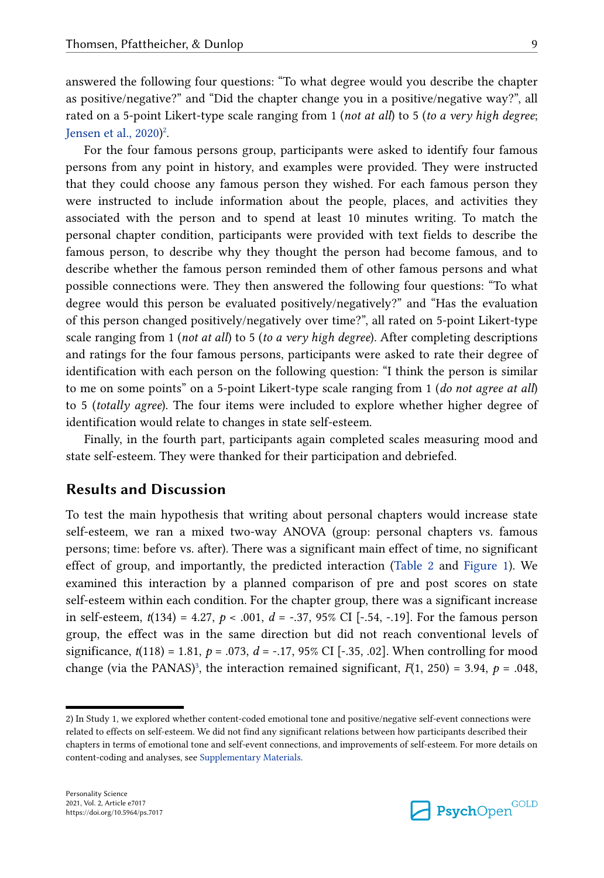answered the following four questions: "To what degree would you describe the chapter as positive/negative?" and "Did the chapter change you in a positive/negative way?", all rated on a 5-point Likert-type scale ranging from 1 (*not at all*) to 5 (*to a very high degree*; [Jensen et al., 2020](#page-21-0)) 2 .

For the four famous persons group, participants were asked to identify four famous persons from any point in history, and examples were provided. They were instructed that they could choose any famous person they wished. For each famous person they were instructed to include information about the people, places, and activities they associated with the person and to spend at least 10 minutes writing. To match the personal chapter condition, participants were provided with text fields to describe the famous person, to describe why they thought the person had become famous, and to describe whether the famous person reminded them of other famous persons and what possible connections were. They then answered the following four questions: "To what degree would this person be evaluated positively/negatively?" and "Has the evaluation of this person changed positively/negatively over time?", all rated on 5-point Likert-type scale ranging from 1 (*not at all*) to 5 (*to a very high degree*). After completing descriptions and ratings for the four famous persons, participants were asked to rate their degree of identification with each person on the following question: "I think the person is similar to me on some points" on a 5-point Likert-type scale ranging from 1 (*do not agree at all*) to 5 (*totally agree*). The four items were included to explore whether higher degree of identification would relate to changes in state self-esteem.

Finally, in the fourth part, participants again completed scales measuring mood and state self-esteem. They were thanked for their participation and debriefed.

## **Results and Discussion**

To test the main hypothesis that writing about personal chapters would increase state self-esteem, we ran a mixed two-way ANOVA (group: personal chapters vs. famous persons; time: before vs. after). There was a significant main effect of time, no significant effect of group, and importantly, the predicted interaction [\(Table 2](#page-9-0) and [Figure 1](#page-10-0)). We examined this interaction by a planned comparison of pre and post scores on state self-esteem within each condition. For the chapter group, there was a significant increase in self-esteem, *t*(134) = 4.27, *p* < .001, *d* = -.37, 95% CI [-.54, -.19]. For the famous person group, the effect was in the same direction but did not reach conventional levels of significance,  $t(118) = 1.81$ ,  $p = .073$ ,  $d = -.17, 95\%$  CI [-.35, .02]. When controlling for mood change (via the PANAS)<sup>[3](#page-9-0)</sup>, the interaction remained significant,  $F(1, 250) = 3.94$ ,  $p = .048$ ,

**Psych**Open<sup>GOLD</sup>

<sup>2)</sup> In Study 1, we explored whether content-coded emotional tone and positive/negative self-event connections were related to effects on self-esteem. We did not find any significant relations between how participants described their chapters in terms of emotional tone and self-event connections, and improvements of self-esteem. For more details on content-coding and analyses, see [Supplementary Materials](#page-19-0).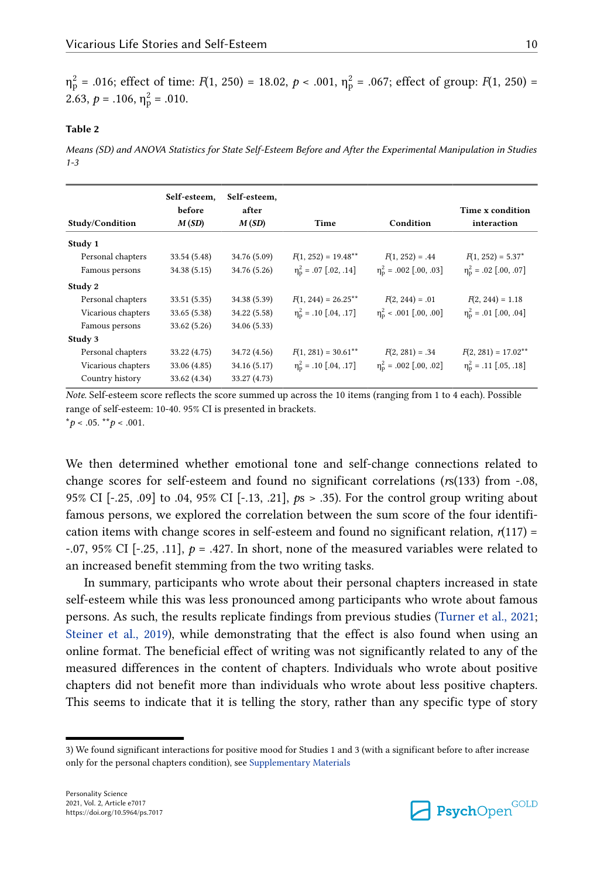<span id="page-9-0"></span> $η<sub>P</sub><sup>2</sup> = .016$ ; effect of time: *F*(1, 250) = 18.02, *p* < .001,  $η<sub>P</sub><sup>2</sup> = .067$ ; effect of group: *F*(1, 250) = 2.63,  $p = .106$ ,  $\eta_p^2 = .010$ .

#### **Table 2**

*Means (SD) and ANOVA Statistics for State Self-Esteem Before and After the Experimental Manipulation in Studies 1-3*

| Self-esteem,<br>before<br>M(SD)<br>Study/Condition | Self-esteem,<br>after<br>M(SD) |                                   | Condition                          | Time x condition<br>interaction   |
|----------------------------------------------------|--------------------------------|-----------------------------------|------------------------------------|-----------------------------------|
|                                                    |                                | Time                              |                                    |                                   |
|                                                    |                                |                                   |                                    |                                   |
| 33.54 (5.48)                                       | 34.76 (5.09)                   | $F(1, 252) = 19.48***$            | $F(1, 252) = .44$                  | $F(1, 252) = 5.37^*$              |
| 34.38(5.15)                                        | 34.76 (5.26)                   | $\eta_{\rm n}^2$ = .07 [.02, .14] | $\eta_{\rm n}^2$ = .002 [.00, .03] | $\eta_{\rm n}^2$ = .02 [.00, .07] |
|                                                    |                                |                                   |                                    |                                   |
| 33.51(5.35)                                        | 34.38 (5.39)                   | $F(1, 244) = 26.25***$            | $F(2, 244) = .01$                  | $F(2, 244) = 1.18$                |
| 33.65(5.38)                                        | 34.22 (5.58)                   | $\eta_{\rm p}^2$ = .10 [.04, .17] | $\eta_{\rm n}^2$ < .001 [.00, .00] | $\eta_{\rm n}^2$ = .01 [.00, .04] |
| 33.62(5.26)                                        | 34.06 (5.33)                   |                                   |                                    |                                   |
|                                                    |                                |                                   |                                    |                                   |
| 33.22 (4.75)                                       | 34.72 (4.56)                   | $F(1, 281) = 30.61$ **            | $F(2, 281) = .34$                  | $F(2, 281) = 17.02***$            |
| 33.06 (4.85)                                       | 34.16 (5.17)                   | $\eta_{\rm n}^2$ = .10 [.04, .17] | $\eta_{\rm n}^2$ = .002 [.00, .02] | $\eta_{\rm p}^2$ = .11 [.05, .18] |
| 33.62 (4.34)                                       | 33.27 (4.73)                   |                                   |                                    |                                   |
|                                                    |                                |                                   |                                    |                                   |

*Note.* Self-esteem score reflects the score summed up across the 10 items (ranging from 1 to 4 each). Possible range of self-esteem: 10-40. 95% CI is presented in brackets.  $*_{p}$  < .05.  $*_{p}$  < .001.

We then determined whether emotional tone and self-change connections related to change scores for self-esteem and found no significant correlations (*r*s(133) from -.08, 95% CI [-.25, .09] to .04, 95% CI [-.13, .21], *p*s > .35). For the control group writing about famous persons, we explored the correlation between the sum score of the four identification items with change scores in self-esteem and found no significant relation,  $r(117)$  = -.07, 95% CI [-.25, .11],  $p = .427$ . In short, none of the measured variables were related to an increased benefit stemming from the two writing tasks.

In summary, participants who wrote about their personal chapters increased in state self-esteem while this was less pronounced among participants who wrote about famous persons. As such, the results replicate findings from previous studies ([Turner et al., 2021](#page-23-0); [Steiner et al., 2019](#page-23-0)), while demonstrating that the effect is also found when using an online format. The beneficial effect of writing was not significantly related to any of the measured differences in the content of chapters. Individuals who wrote about positive chapters did not benefit more than individuals who wrote about less positive chapters. This seems to indicate that it is telling the story, rather than any specific type of story



<sup>3)</sup> We found significant interactions for positive mood for Studies 1 and 3 (with a significant before to after increase only for the personal chapters condition), see [Supplementary Materials](#page-19-0)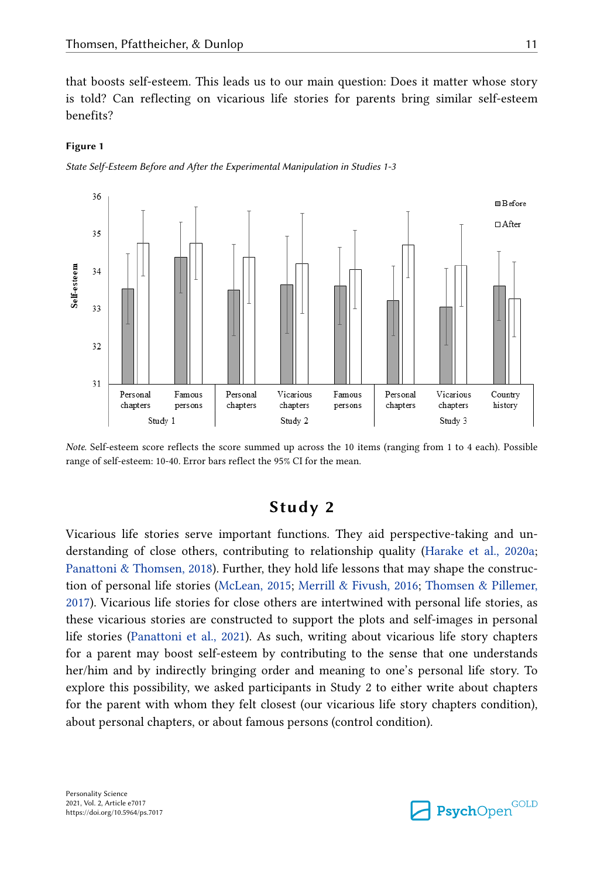<span id="page-10-0"></span>that boosts self-esteem. This leads us to our main question: Does it matter whose story is told? Can reflecting on vicarious life stories for parents bring similar self-esteem benefits?

#### **Figure 1**

*State Self-Esteem Before and After the Experimental Manipulation in Studies 1-3*



*Note.* Self-esteem score reflects the score summed up across the 10 items (ranging from 1 to 4 each). Possible range of self-esteem: 10-40. Error bars reflect the 95% CI for the mean.

# **Study 2**

Vicarious life stories serve important functions. They aid perspective-taking and understanding of close others, contributing to relationship quality [\(Harake et al., 2020a](#page-21-0); [Panattoni & Thomsen, 2018\)](#page-22-0). Further, they hold life lessons that may shape the construction of personal life stories [\(McLean, 2015;](#page-21-0) [Merrill & Fivush, 2016](#page-22-0); [Thomsen & Pillemer,](#page-23-0)  [2017\)](#page-23-0). Vicarious life stories for close others are intertwined with personal life stories, as these vicarious stories are constructed to support the plots and self-images in personal life stories [\(Panattoni et al., 2021](#page-22-0)). As such, writing about vicarious life story chapters for a parent may boost self-esteem by contributing to the sense that one understands her/him and by indirectly bringing order and meaning to one's personal life story. To explore this possibility, we asked participants in Study 2 to either write about chapters for the parent with whom they felt closest (our vicarious life story chapters condition), about personal chapters, or about famous persons (control condition).

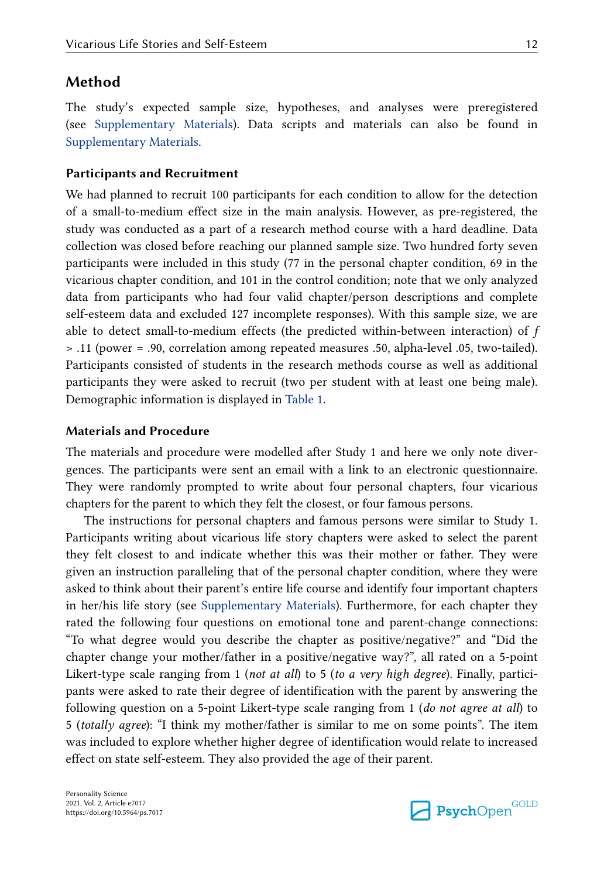### **Method**

The study's expected sample size, hypotheses, and analyses were preregistered (see [Supplementary Materials](#page-19-0)). Data scripts and materials can also be found in [Supplementary Materials.](#page-19-0)

#### **Participants and Recruitment**

We had planned to recruit 100 participants for each condition to allow for the detection of a small-to-medium effect size in the main analysis. However, as pre-registered, the study was conducted as a part of a research method course with a hard deadline. Data collection was closed before reaching our planned sample size. Two hundred forty seven participants were included in this study (77 in the personal chapter condition, 69 in the vicarious chapter condition, and 101 in the control condition; note that we only analyzed data from participants who had four valid chapter/person descriptions and complete self-esteem data and excluded 127 incomplete responses). With this sample size, we are able to detect small-to-medium effects (the predicted within-between interaction) of *f*  > .11 (power = .90, correlation among repeated measures .50, alpha-level .05, two-tailed). Participants consisted of students in the research methods course as well as additional participants they were asked to recruit (two per student with at least one being male). Demographic information is displayed in [Table 1](#page-7-0).

#### **Materials and Procedure**

The materials and procedure were modelled after Study 1 and here we only note divergences. The participants were sent an email with a link to an electronic questionnaire. They were randomly prompted to write about four personal chapters, four vicarious chapters for the parent to which they felt the closest, or four famous persons.

The instructions for personal chapters and famous persons were similar to Study 1. Participants writing about vicarious life story chapters were asked to select the parent they felt closest to and indicate whether this was their mother or father. They were given an instruction paralleling that of the personal chapter condition, where they were asked to think about their parent's entire life course and identify four important chapters in her/his life story (see [Supplementary Materials](#page-19-0)). Furthermore, for each chapter they rated the following four questions on emotional tone and parent-change connections: "To what degree would you describe the chapter as positive/negative?" and "Did the chapter change your mother/father in a positive/negative way?", all rated on a 5-point Likert-type scale ranging from 1 (*not at all*) to 5 (*to a very high degree*). Finally, participants were asked to rate their degree of identification with the parent by answering the following question on a 5-point Likert-type scale ranging from 1 (*do not agree at all*) to 5 (*totally agree*): "I think my mother/father is similar to me on some points". The item was included to explore whether higher degree of identification would relate to increased effect on state self-esteem. They also provided the age of their parent.

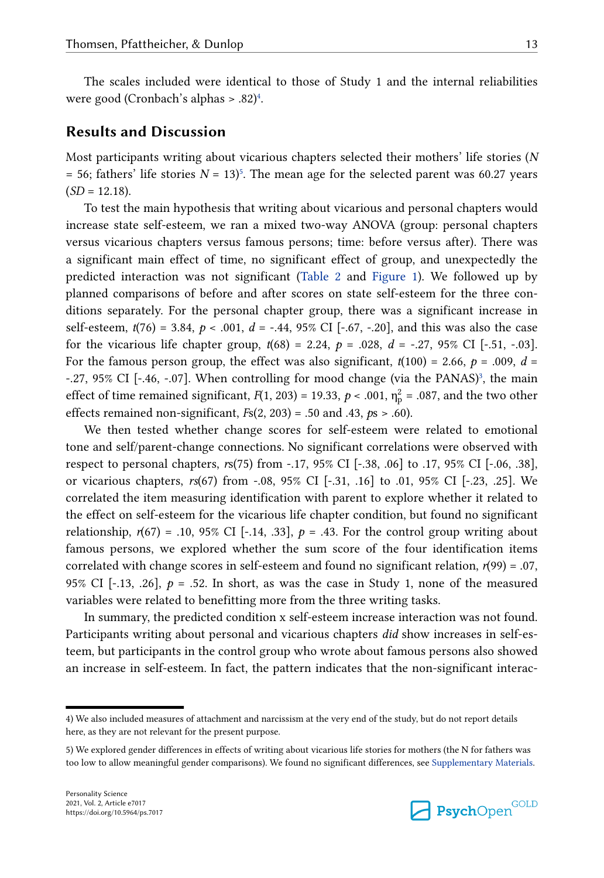# <span id="page-12-0"></span>**Results and Discussion**

Most participants writing about vicarious chapters selected their mothers' life stories (*N*   $=$  56; fathers' life stories  $N = 13$ <sup>5</sup>. The mean age for the selected parent was 60.27 years (*SD* = 12.18).

To test the main hypothesis that writing about vicarious and personal chapters would increase state self-esteem, we ran a mixed two-way ANOVA (group: personal chapters versus vicarious chapters versus famous persons; time: before versus after). There was a significant main effect of time, no significant effect of group, and unexpectedly the predicted interaction was not significant ([Table 2](#page-9-0) and [Figure 1\)](#page-10-0). We followed up by planned comparisons of before and after scores on state self-esteem for the three conditions separately. For the personal chapter group, there was a significant increase in self-esteem, *t*(76) = 3.84, *p* < .001, *d* = -.44, 95% CI [-.67, -.20], and this was also the case for the vicarious life chapter group,  $t(68) = 2.24$ ,  $p = .028$ ,  $d = -.27$ , 95% CI [-.51, -.03]. For the famous person group, the effect was also significant,  $t(100) = 2.66$ ,  $p = .009$ ,  $d =$  $-27$ ,  $95\%$  CI [ $-46$ ,  $-07$ ]. When controlling for mood change (via the PANAS)<sup>[3](#page-9-0)</sup>, the main effect of time remained significant,  $F(1, 203) = 19.33$ ,  $p < .001$ ,  $\eta_p^2 = .087$ , and the two other effects remained non-significant, *F*s(2, 203) = .50 and .43, *p*s > .60).

We then tested whether change scores for self-esteem were related to emotional tone and self/parent-change connections. No significant correlations were observed with respect to personal chapters, *r*s(75) from -.17, 95% CI [-.38, .06] to .17, 95% CI [-.06, .38], or vicarious chapters, *rs*(67) from -.08, 95% CI [-.31, .16] to .01, 95% CI [-.23, .25]. We correlated the item measuring identification with parent to explore whether it related to the effect on self-esteem for the vicarious life chapter condition, but found no significant relationship,  $r(67) = .10, 95\%$  CI [-.14, .33],  $p = .43$ . For the control group writing about famous persons, we explored whether the sum score of the four identification items correlated with change scores in self-esteem and found no significant relation,  $r(99) = .07$ , 95% CI  $[-13, 0.26]$ ,  $p = 0.52$ . In short, as was the case in Study 1, none of the measured variables were related to benefitting more from the three writing tasks.

In summary, the predicted condition x self-esteem increase interaction was not found. Participants writing about personal and vicarious chapters *did* show increases in self-esteem, but participants in the control group who wrote about famous persons also showed an increase in self-esteem. In fact, the pattern indicates that the non-significant interac-



<sup>4)</sup> We also included measures of attachment and narcissism at the very end of the study, but do not report details here, as they are not relevant for the present purpose.

<sup>5)</sup> We explored gender differences in effects of writing about vicarious life stories for mothers (the N for fathers was too low to allow meaningful gender comparisons). We found no significant differences, see [Supplementary Materials.](#page-19-0)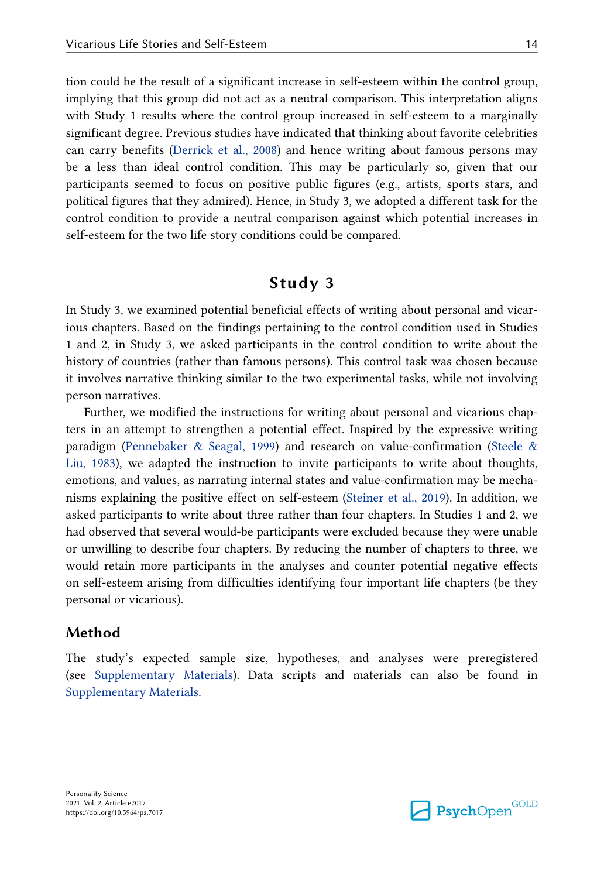tion could be the result of a significant increase in self-esteem within the control group, implying that this group did not act as a neutral comparison. This interpretation aligns with Study 1 results where the control group increased in self-esteem to a marginally significant degree. Previous studies have indicated that thinking about favorite celebrities can carry benefits [\(Derrick et al., 2008\)](#page-20-0) and hence writing about famous persons may be a less than ideal control condition. This may be particularly so, given that our participants seemed to focus on positive public figures (e.g., artists, sports stars, and political figures that they admired). Hence, in Study 3, we adopted a different task for the control condition to provide a neutral comparison against which potential increases in self-esteem for the two life story conditions could be compared.

# **Study 3**

In Study 3, we examined potential beneficial effects of writing about personal and vicarious chapters. Based on the findings pertaining to the control condition used in Studies 1 and 2, in Study 3, we asked participants in the control condition to write about the history of countries (rather than famous persons). This control task was chosen because it involves narrative thinking similar to the two experimental tasks, while not involving person narratives.

Further, we modified the instructions for writing about personal and vicarious chapters in an attempt to strengthen a potential effect. Inspired by the expressive writing paradigm [\(Pennebaker & Seagal, 1999](#page-22-0)) and research on value-confirmation ([Steele &](#page-22-0)  [Liu, 1983\)](#page-22-0), we adapted the instruction to invite participants to write about thoughts, emotions, and values, as narrating internal states and value-confirmation may be mechanisms explaining the positive effect on self-esteem ([Steiner et al., 2019](#page-23-0)). In addition, we asked participants to write about three rather than four chapters. In Studies 1 and 2, we had observed that several would-be participants were excluded because they were unable or unwilling to describe four chapters. By reducing the number of chapters to three, we would retain more participants in the analyses and counter potential negative effects on self-esteem arising from difficulties identifying four important life chapters (be they personal or vicarious).

### **Method**

The study's expected sample size, hypotheses, and analyses were preregistered (see [Supplementary Materials](#page-19-0)). Data scripts and materials can also be found in [Supplementary Materials.](#page-19-0)

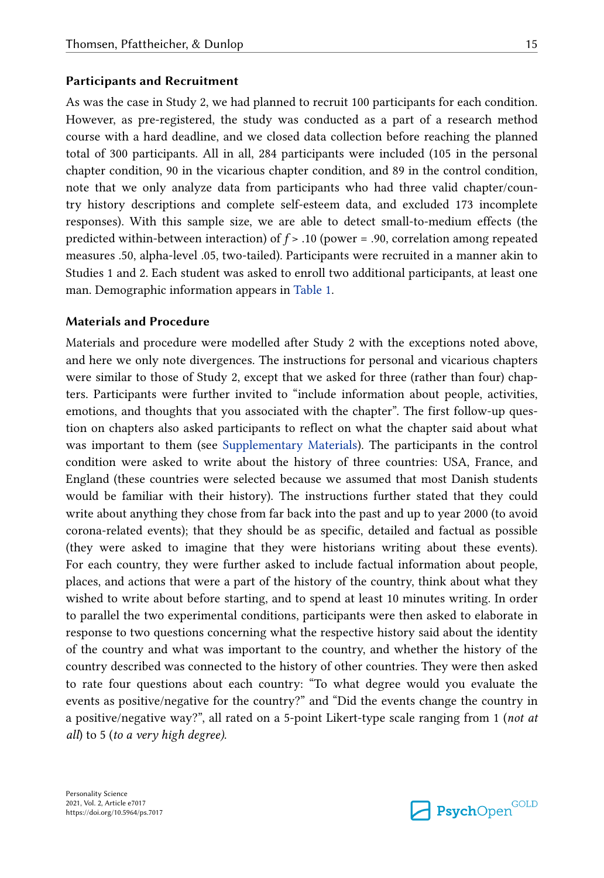#### **Participants and Recruitment**

As was the case in Study 2, we had planned to recruit 100 participants for each condition. However, as pre-registered, the study was conducted as a part of a research method course with a hard deadline, and we closed data collection before reaching the planned total of 300 participants. All in all, 284 participants were included (105 in the personal chapter condition, 90 in the vicarious chapter condition, and 89 in the control condition, note that we only analyze data from participants who had three valid chapter/country history descriptions and complete self-esteem data, and excluded 173 incomplete responses). With this sample size, we are able to detect small-to-medium effects (the predicted within-between interaction) of *f* > .10 (power = .90, correlation among repeated measures .50, alpha-level .05, two-tailed). Participants were recruited in a manner akin to Studies 1 and 2. Each student was asked to enroll two additional participants, at least one man. Demographic information appears in [Table 1.](#page-7-0)

#### **Materials and Procedure**

Materials and procedure were modelled after Study 2 with the exceptions noted above, and here we only note divergences. The instructions for personal and vicarious chapters were similar to those of Study 2, except that we asked for three (rather than four) chapters. Participants were further invited to "include information about people, activities, emotions, and thoughts that you associated with the chapter". The first follow-up question on chapters also asked participants to reflect on what the chapter said about what was important to them (see [Supplementary Materials\)](#page-19-0). The participants in the control condition were asked to write about the history of three countries: USA, France, and England (these countries were selected because we assumed that most Danish students would be familiar with their history). The instructions further stated that they could write about anything they chose from far back into the past and up to year 2000 (to avoid corona-related events); that they should be as specific, detailed and factual as possible (they were asked to imagine that they were historians writing about these events). For each country, they were further asked to include factual information about people, places, and actions that were a part of the history of the country, think about what they wished to write about before starting, and to spend at least 10 minutes writing. In order to parallel the two experimental conditions, participants were then asked to elaborate in response to two questions concerning what the respective history said about the identity of the country and what was important to the country, and whether the history of the country described was connected to the history of other countries. They were then asked to rate four questions about each country: "To what degree would you evaluate the events as positive/negative for the country?" and "Did the events change the country in a positive/negative way?", all rated on a 5-point Likert-type scale ranging from 1 (*not at all*) to 5 (*to a very high degree)*.

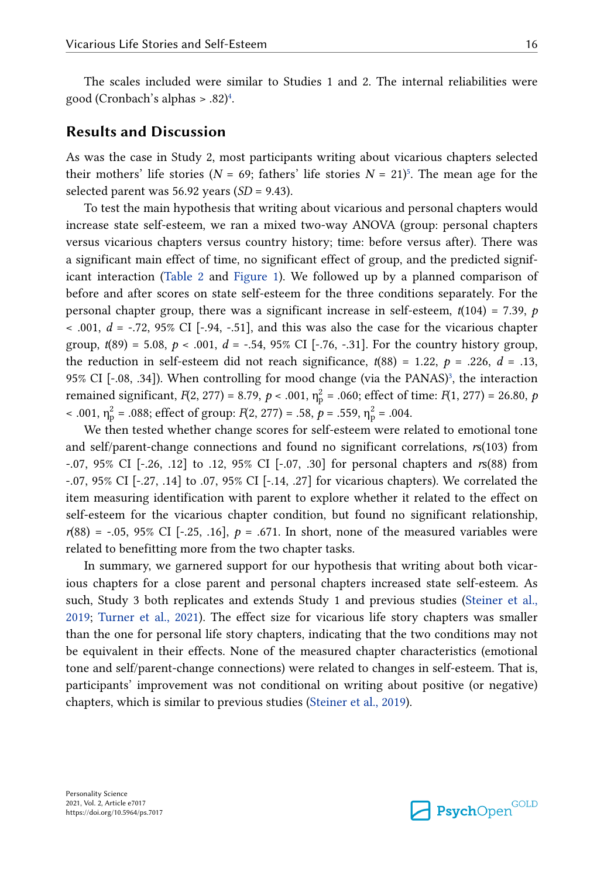The scales included were similar to Studies 1 and 2. The internal reliabilities were good (Cronbach's alphas > .82)[4](#page-12-0) .

### **Results and Discussion**

As was the case in Study 2, most participants writing about vicarious chapters selected their mothers' life stories ( $N = 69$ ; fathers' life stories  $N = 21$ <sup>[5](#page-12-0)</sup>. The mean age for the selected parent was 56.92 years (*SD* = 9.43).

To test the main hypothesis that writing about vicarious and personal chapters would increase state self-esteem, we ran a mixed two-way ANOVA (group: personal chapters versus vicarious chapters versus country history; time: before versus after). There was a significant main effect of time, no significant effect of group, and the predicted significant interaction [\(Table 2](#page-9-0) and [Figure 1](#page-10-0)). We followed up by a planned comparison of before and after scores on state self-esteem for the three conditions separately. For the personal chapter group, there was a significant increase in self-esteem,  $t(104) = 7.39$ ,  $p$  $< .001, d = .72, 95\%$  CI [ $-.94, -.51$ ], and this was also the case for the vicarious chapter group,  $t(89) = 5.08$ ,  $p < .001$ ,  $d = -.54$ , 95% CI [-.76, -.31]. For the country history group, the reduction in self-esteem did not reach significance,  $t(88) = 1.22$ ,  $p = .226$ ,  $d = .13$ , 95% CI [-.08, .[3](#page-9-0)4]). When controlling for mood change (via the PANAS)<sup>3</sup>, the interaction remained significant, *F*(2, 277) = 8.79, *p* < .001,  $\eta_p^2$  = .060; effect of time: *F*(1, 277) = 26.80, *p*  $\times$  .001,  $\eta_p^2$  = .088; effect of group: *F*(2, 277) = .58, *p* = .559,  $\eta_p^2$  = .004.

We then tested whether change scores for self-esteem were related to emotional tone and self/parent-change connections and found no significant correlations, *r*s(103) from -.07, 95% CI [-.26, .12] to .12, 95% CI [-.07, .30] for personal chapters and *r*s(88) from -.07, 95% CI [-.27, .14] to .07, 95% CI [-.14, .27] for vicarious chapters). We correlated the item measuring identification with parent to explore whether it related to the effect on self-esteem for the vicarious chapter condition, but found no significant relationship,  $r(88) = -0.05$ , 95% CI [-.25, .16],  $p = 0.671$ . In short, none of the measured variables were related to benefitting more from the two chapter tasks.

In summary, we garnered support for our hypothesis that writing about both vicarious chapters for a close parent and personal chapters increased state self-esteem. As such, Study 3 both replicates and extends Study 1 and previous studies ([Steiner et al.,](#page-23-0)  [2019;](#page-23-0) [Turner et al., 2021](#page-23-0)). The effect size for vicarious life story chapters was smaller than the one for personal life story chapters, indicating that the two conditions may not be equivalent in their effects. None of the measured chapter characteristics (emotional tone and self/parent-change connections) were related to changes in self-esteem. That is, participants' improvement was not conditional on writing about positive (or negative) chapters, which is similar to previous studies [\(Steiner et al., 2019](#page-23-0)).

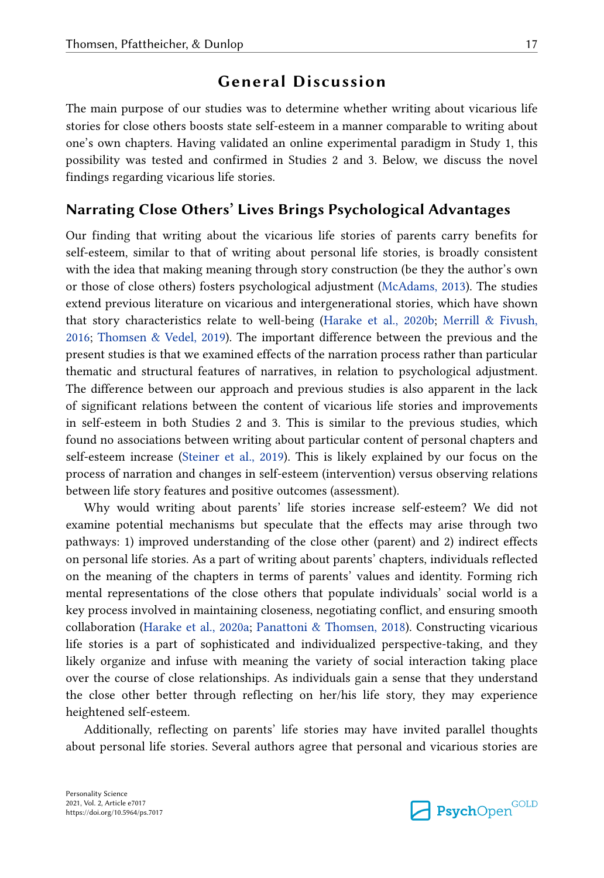# **General Discussion**

The main purpose of our studies was to determine whether writing about vicarious life stories for close others boosts state self-esteem in a manner comparable to writing about one's own chapters. Having validated an online experimental paradigm in Study 1, this possibility was tested and confirmed in Studies 2 and 3. Below, we discuss the novel findings regarding vicarious life stories.

## **Narrating Close Others' Lives Brings Psychological Advantages**

Our finding that writing about the vicarious life stories of parents carry benefits for self-esteem, similar to that of writing about personal life stories, is broadly consistent with the idea that making meaning through story construction (be they the author's own or those of close others) fosters psychological adjustment ([McAdams, 2013\)](#page-21-0). The studies extend previous literature on vicarious and intergenerational stories, which have shown that story characteristics relate to well-being ([Harake et al., 2020b;](#page-21-0) [Merrill & Fivush,](#page-22-0)  [2016;](#page-22-0) [Thomsen & Vedel, 2019\)](#page-23-0). The important difference between the previous and the present studies is that we examined effects of the narration process rather than particular thematic and structural features of narratives, in relation to psychological adjustment. The difference between our approach and previous studies is also apparent in the lack of significant relations between the content of vicarious life stories and improvements in self-esteem in both Studies 2 and 3. This is similar to the previous studies, which found no associations between writing about particular content of personal chapters and self-esteem increase [\(Steiner et al., 2019\)](#page-23-0). This is likely explained by our focus on the process of narration and changes in self-esteem (intervention) versus observing relations between life story features and positive outcomes (assessment).

Why would writing about parents' life stories increase self-esteem? We did not examine potential mechanisms but speculate that the effects may arise through two pathways: 1) improved understanding of the close other (parent) and 2) indirect effects on personal life stories. As a part of writing about parents' chapters, individuals reflected on the meaning of the chapters in terms of parents' values and identity. Forming rich mental representations of the close others that populate individuals' social world is a key process involved in maintaining closeness, negotiating conflict, and ensuring smooth collaboration [\(Harake et al., 2020a](#page-21-0); [Panattoni & Thomsen, 2018](#page-22-0)). Constructing vicarious life stories is a part of sophisticated and individualized perspective-taking, and they likely organize and infuse with meaning the variety of social interaction taking place over the course of close relationships. As individuals gain a sense that they understand the close other better through reflecting on her/his life story, they may experience heightened self-esteem.

Additionally, reflecting on parents' life stories may have invited parallel thoughts about personal life stories. Several authors agree that personal and vicarious stories are

**Psych**Open<sup>GOLD</sup>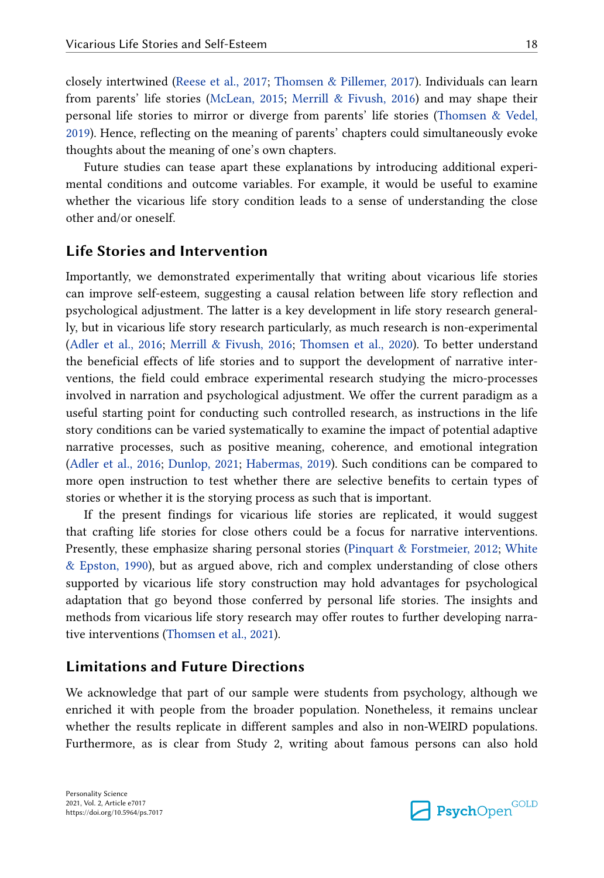closely intertwined [\(Reese et al., 2017](#page-22-0); [Thomsen & Pillemer, 2017\)](#page-23-0). Individuals can learn from parents' life stories ([McLean, 2015;](#page-21-0) [Merrill & Fivush, 2016\)](#page-22-0) and may shape their personal life stories to mirror or diverge from parents' life stories [\(Thomsen & Vedel,](#page-23-0)  [2019\)](#page-23-0). Hence, reflecting on the meaning of parents' chapters could simultaneously evoke thoughts about the meaning of one's own chapters.

Future studies can tease apart these explanations by introducing additional experimental conditions and outcome variables. For example, it would be useful to examine whether the vicarious life story condition leads to a sense of understanding the close other and/or oneself.

### **Life Stories and Intervention**

Importantly, we demonstrated experimentally that writing about vicarious life stories can improve self-esteem, suggesting a causal relation between life story reflection and psychological adjustment. The latter is a key development in life story research generally, but in vicarious life story research particularly, as much research is non-experimental [\(Adler et al., 2016;](#page-20-0) [Merrill & Fivush, 2016](#page-22-0); [Thomsen et al., 2020\)](#page-23-0). To better understand the beneficial effects of life stories and to support the development of narrative interventions, the field could embrace experimental research studying the micro-processes involved in narration and psychological adjustment. We offer the current paradigm as a useful starting point for conducting such controlled research, as instructions in the life story conditions can be varied systematically to examine the impact of potential adaptive narrative processes, such as positive meaning, coherence, and emotional integration [\(Adler et al., 2016;](#page-20-0) [Dunlop, 2021](#page-20-0); [Habermas, 2019](#page-21-0)). Such conditions can be compared to more open instruction to test whether there are selective benefits to certain types of stories or whether it is the storying process as such that is important.

If the present findings for vicarious life stories are replicated, it would suggest that crafting life stories for close others could be a focus for narrative interventions. Presently, these emphasize sharing personal stories ([Pinquart & Forstmeier, 2012;](#page-22-0) [White](#page-23-0)  [& Epston, 1990\)](#page-23-0), but as argued above, rich and complex understanding of close others supported by vicarious life story construction may hold advantages for psychological adaptation that go beyond those conferred by personal life stories. The insights and methods from vicarious life story research may offer routes to further developing narrative interventions ([Thomsen et al., 2021](#page-23-0)).

## **Limitations and Future Directions**

We acknowledge that part of our sample were students from psychology, although we enriched it with people from the broader population. Nonetheless, it remains unclear whether the results replicate in different samples and also in non-WEIRD populations. Furthermore, as is clear from Study 2, writing about famous persons can also hold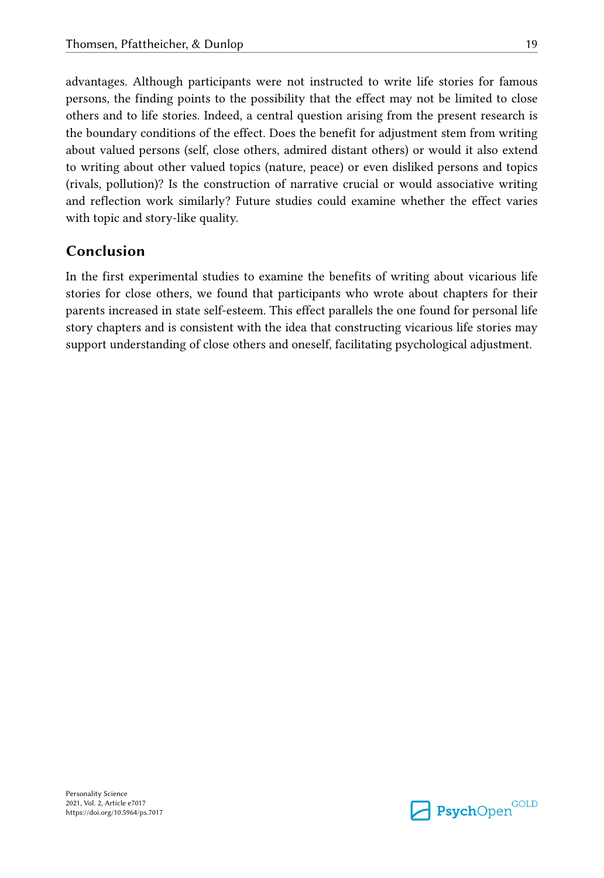advantages. Although participants were not instructed to write life stories for famous persons, the finding points to the possibility that the effect may not be limited to close others and to life stories. Indeed, a central question arising from the present research is the boundary conditions of the effect. Does the benefit for adjustment stem from writing about valued persons (self, close others, admired distant others) or would it also extend to writing about other valued topics (nature, peace) or even disliked persons and topics (rivals, pollution)? Is the construction of narrative crucial or would associative writing and reflection work similarly? Future studies could examine whether the effect varies with topic and story-like quality.

# **Conclusion**

In the first experimental studies to examine the benefits of writing about vicarious life stories for close others, we found that participants who wrote about chapters for their parents increased in state self-esteem. This effect parallels the one found for personal life story chapters and is consistent with the idea that constructing vicarious life stories may support understanding of close others and oneself, facilitating psychological adjustment.

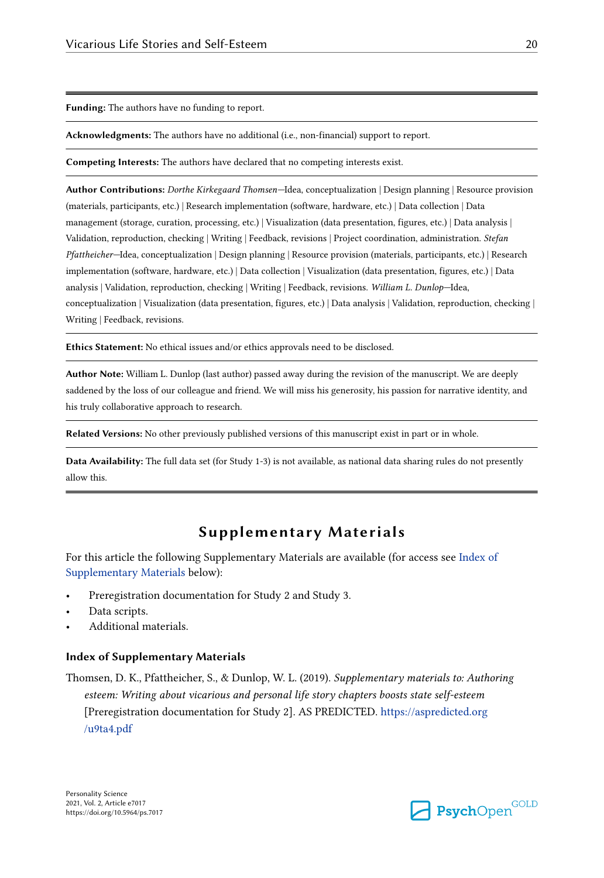<span id="page-19-0"></span>**Funding:** The authors have no funding to report.

**Acknowledgments:** The authors have no additional (i.e., non-financial) support to report.

**Competing Interests:** The authors have declared that no competing interests exist.

**Author Contributions:** *Dorthe Kirkegaard Thomsen—*Idea, conceptualization | Design planning | Resource provision (materials, participants, etc.) | Research implementation (software, hardware, etc.) | Data collection | Data management (storage, curation, processing, etc.) | Visualization (data presentation, figures, etc.) | Data analysis | Validation, reproduction, checking | Writing | Feedback, revisions | Project coordination, administration. *Stefan Pfattheicher—*Idea, conceptualization | Design planning | Resource provision (materials, participants, etc.) | Research implementation (software, hardware, etc.) | Data collection | Visualization (data presentation, figures, etc.) | Data analysis | Validation, reproduction, checking | Writing | Feedback, revisions. *William L. Dunlop—*Idea, conceptualization | Visualization (data presentation, figures, etc.) | Data analysis | Validation, reproduction, checking | Writing | Feedback, revisions.

**Ethics Statement:** No ethical issues and/or ethics approvals need to be disclosed.

**Author Note:** William L. Dunlop (last author) passed away during the revision of the manuscript. We are deeply saddened by the loss of our colleague and friend. We will miss his generosity, his passion for narrative identity, and his truly collaborative approach to research.

**Related Versions:** No other previously published versions of this manuscript exist in part or in whole.

**Data Availability:** The full data set (for Study 1-3) is not available, as national data sharing rules do not presently allow this.

# **Supplementary Materials**

For this article the following Supplementary Materials are available (for access see Index of Supplementary Materials below):

- Preregistration documentation for Study 2 and Study 3.
- Data scripts.
- Additional materials.

#### **Index of Supplementary Materials**

Thomsen, D. K., Pfattheicher, S., & Dunlop, W. L. (2019). *Supplementary materials to: Authoring esteem: Writing about vicarious and personal life story chapters boosts state self-esteem*  [Preregistration documentation for Study 2]. AS PREDICTED. [https://aspredicted.org](https://aspredicted.org/u9ta4.pdf) [/u9ta4.pdf](https://aspredicted.org/u9ta4.pdf)

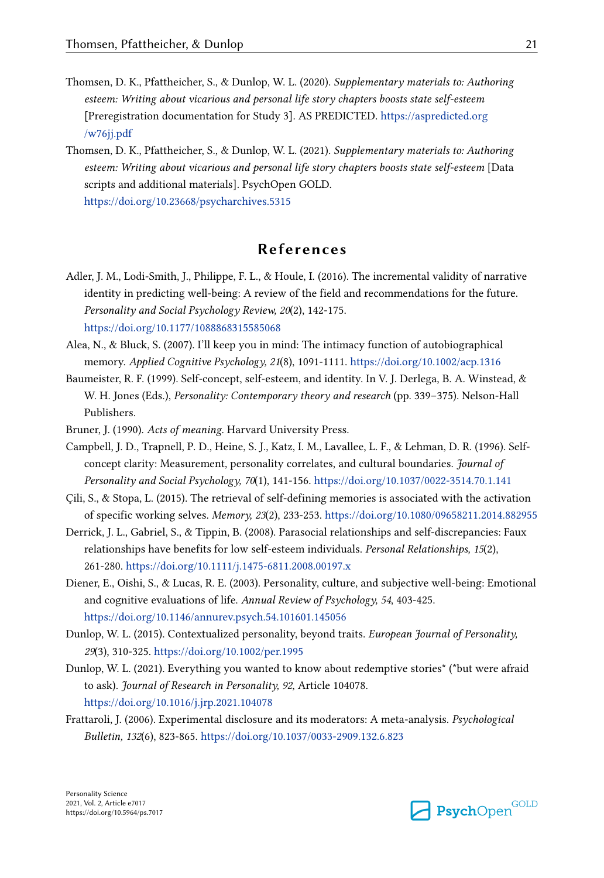- <span id="page-20-0"></span>Thomsen, D. K., Pfattheicher, S., & Dunlop, W. L. (2020). *Supplementary materials to: Authoring esteem: Writing about vicarious and personal life story chapters boosts state self-esteem*  [Preregistration documentation for Study 3]. AS PREDICTED. [https://aspredicted.org](https://aspredicted.org/w76jj.pdf) [/w76jj.pdf](https://aspredicted.org/w76jj.pdf)
- Thomsen, D. K., Pfattheicher, S., & Dunlop, W. L. (2021). *Supplementary materials to: Authoring esteem: Writing about vicarious and personal life story chapters boosts state self-esteem* [Data scripts and additional materials]. PsychOpen GOLD. <https://doi.org/10.23668/psycharchives.5315>

# **References**

- Adler, J. M., Lodi-Smith, J., Philippe, F. L., & Houle, I. (2016). The incremental validity of narrative identity in predicting well-being: A review of the field and recommendations for the future. *Personality and Social Psychology Review, 20*(2), 142-175. <https://doi.org/10.1177/1088868315585068>
- Alea, N., & Bluck, S. (2007). I'll keep you in mind: The intimacy function of autobiographical memory. *Applied Cognitive Psychology, 21*(8), 1091-1111.<https://doi.org/10.1002/acp.1316>
- Baumeister, R. F. (1999). Self-concept, self-esteem, and identity. In V. J. Derlega, B. A. Winstead, & W. H. Jones (Eds.), *Personality: Contemporary theory and research* (pp. 339–375). Nelson-Hall Publishers.
- Bruner, J. (1990). *Acts of meaning*. Harvard University Press.
- Campbell, J. D., Trapnell, P. D., Heine, S. J., Katz, I. M., Lavallee, L. F., & Lehman, D. R. (1996). Selfconcept clarity: Measurement, personality correlates, and cultural boundaries. *Journal of Personality and Social Psychology, 70*(1), 141-156.<https://doi.org/10.1037/0022-3514.70.1.141>
- Çili, S., & Stopa, L. (2015). The retrieval of self-defining memories is associated with the activation of specific working selves. *Memory, 23*(2), 233-253. <https://doi.org/10.1080/09658211.2014.882955>
- Derrick, J. L., Gabriel, S., & Tippin, B. (2008). Parasocial relationships and self-discrepancies: Faux relationships have benefits for low self-esteem individuals. *Personal Relationships, 15*(2), 261-280. <https://doi.org/10.1111/j.1475-6811.2008.00197.x>
- Diener, E., Oishi, S., & Lucas, R. E. (2003). Personality, culture, and subjective well-being: Emotional and cognitive evaluations of life. *Annual Review of Psychology, 54*, 403-425. <https://doi.org/10.1146/annurev.psych.54.101601.145056>
- Dunlop, W. L. (2015). Contextualized personality, beyond traits. *European Journal of Personality, 29*(3), 310-325.<https://doi.org/10.1002/per.1995>
- Dunlop, W. L. (2021). Everything you wanted to know about redemptive stories\* (\*but were afraid to ask). *Journal of Research in Personality, 92*, Article 104078. <https://doi.org/10.1016/j.jrp.2021.104078>
- Frattaroli, J. (2006). Experimental disclosure and its moderators: A meta-analysis. *Psychological Bulletin, 132*(6), 823-865. <https://doi.org/10.1037/0033-2909.132.6.823>

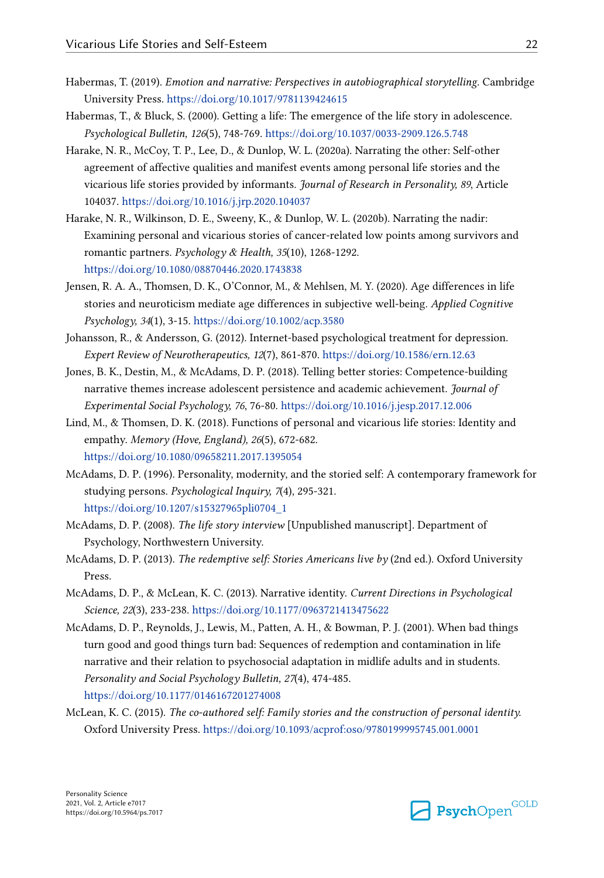- <span id="page-21-0"></span>Habermas, T. (2019). *Emotion and narrative: Perspectives in autobiographical storytelling*. Cambridge University Press.<https://doi.org/10.1017/9781139424615>
- Habermas, T., & Bluck, S. (2000). Getting a life: The emergence of the life story in adolescence. *Psychological Bulletin, 126*(5), 748-769. <https://doi.org/10.1037/0033-2909.126.5.748>
- Harake, N. R., McCoy, T. P., Lee, D., & Dunlop, W. L. (2020a). Narrating the other: Self-other agreement of affective qualities and manifest events among personal life stories and the vicarious life stories provided by informants. *Journal of Research in Personality, 89*, Article 104037. <https://doi.org/10.1016/j.jrp.2020.104037>
- Harake, N. R., Wilkinson, D. E., Sweeny, K., & Dunlop, W. L. (2020b). Narrating the nadir: Examining personal and vicarious stories of cancer-related low points among survivors and romantic partners. *Psychology & Health, 35*(10), 1268-1292. <https://doi.org/10.1080/08870446.2020.1743838>
- Jensen, R. A. A., Thomsen, D. K., O'Connor, M., & Mehlsen, M. Y. (2020). Age differences in life stories and neuroticism mediate age differences in subjective well-being. *Applied Cognitive Psychology, 34*(1), 3-15.<https://doi.org/10.1002/acp.3580>
- Johansson, R., & Andersson, G. (2012). Internet-based psychological treatment for depression. *Expert Review of Neurotherapeutics, 12*(7), 861-870.<https://doi.org/10.1586/ern.12.63>
- Jones, B. K., Destin, M., & McAdams, D. P. (2018). Telling better stories: Competence-building narrative themes increase adolescent persistence and academic achievement. *Journal of Experimental Social Psychology, 76*, 76-80. <https://doi.org/10.1016/j.jesp.2017.12.006>
- Lind, M., & Thomsen, D. K. (2018). Functions of personal and vicarious life stories: Identity and empathy. *Memory (Hove, England), 26*(5), 672-682. <https://doi.org/10.1080/09658211.2017.1395054>
- McAdams, D. P. (1996). Personality, modernity, and the storied self: A contemporary framework for studying persons. *Psychological Inquiry, 7*(4), 295-321. [https://doi.org/10.1207/s15327965pli0704\\_1](https://doi.org/10.1207/s15327965pli0704_1)
- McAdams, D. P. (2008). *The life story interview* [Unpublished manuscript]. Department of Psychology, Northwestern University.
- McAdams, D. P. (2013). *The redemptive self: Stories Americans live by* (2nd ed.). Oxford University Press.
- McAdams, D. P., & McLean, K. C. (2013). Narrative identity. *Current Directions in Psychological Science, 22*(3), 233-238. <https://doi.org/10.1177/0963721413475622>
- McAdams, D. P., Reynolds, J., Lewis, M., Patten, A. H., & Bowman, P. J. (2001). When bad things turn good and good things turn bad: Sequences of redemption and contamination in life narrative and their relation to psychosocial adaptation in midlife adults and in students. *Personality and Social Psychology Bulletin, 27*(4), 474-485. <https://doi.org/10.1177/0146167201274008>
- McLean, K. C. (2015). *The co-authored self: Family stories and the construction of personal identity.*  Oxford University Press.<https://doi.org/10.1093/acprof:oso/9780199995745.001.0001>

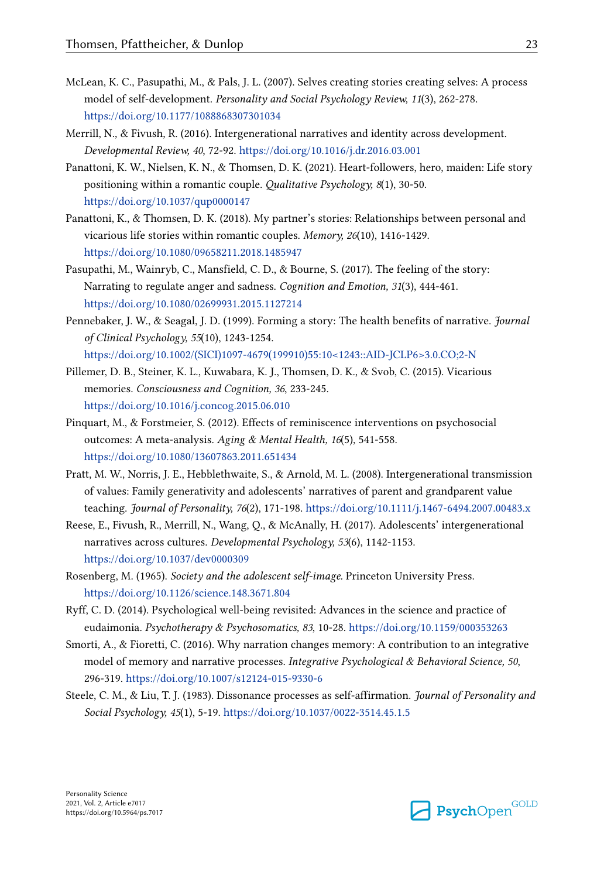- <span id="page-22-0"></span>McLean, K. C., Pasupathi, M., & Pals, J. L. (2007). Selves creating stories creating selves: A process model of self-development. *Personality and Social Psychology Review, 11*(3), 262-278. <https://doi.org/10.1177/1088868307301034>
- Merrill, N., & Fivush, R. (2016). Intergenerational narratives and identity across development. *Developmental Review, 40*, 72-92.<https://doi.org/10.1016/j.dr.2016.03.001>
- Panattoni, K. W., Nielsen, K. N., & Thomsen, D. K. (2021). Heart-followers, hero, maiden: Life story positioning within a romantic couple. *Qualitative Psychology, 8*(1), 30-50. <https://doi.org/10.1037/qup0000147>
- Panattoni, K., & Thomsen, D. K. (2018). My partner's stories: Relationships between personal and vicarious life stories within romantic couples. *Memory, 26*(10), 1416-1429. <https://doi.org/10.1080/09658211.2018.1485947>
- Pasupathi, M., Wainryb, C., Mansfield, C. D., & Bourne, S. (2017). The feeling of the story: Narrating to regulate anger and sadness. *Cognition and Emotion, 31*(3), 444-461. <https://doi.org/10.1080/02699931.2015.1127214>
- Pennebaker, J. W., & Seagal, J. D. (1999). Forming a story: The health benefits of narrative. *Journal of Clinical Psychology, 55*(10), 1243-1254. [https://doi.org/10.1002/\(SICI\)1097-4679\(199910\)55:10<1243::AID-JCLP6>3.0.CO;2-N](https://doi.org/10.1002/(SICI)1097-4679(199910)55:10<1243::AID-JCLP6>3.0.CO;2-N)
- Pillemer, D. B., Steiner, K. L., Kuwabara, K. J., Thomsen, D. K., & Svob, C. (2015). Vicarious memories. *Consciousness and Cognition, 36*, 233-245. <https://doi.org/10.1016/j.concog.2015.06.010>
- Pinquart, M., & Forstmeier, S. (2012). Effects of reminiscence interventions on psychosocial outcomes: A meta-analysis. *Aging & Mental Health, 16*(5), 541-558. <https://doi.org/10.1080/13607863.2011.651434>
- Pratt, M. W., Norris, J. E., Hebblethwaite, S., & Arnold, M. L. (2008). Intergenerational transmission of values: Family generativity and adolescents' narratives of parent and grandparent value teaching. *Journal of Personality, 76*(2), 171-198. <https://doi.org/10.1111/j.1467-6494.2007.00483.x>
- Reese, E., Fivush, R., Merrill, N., Wang, Q., & McAnally, H. (2017). Adolescents' intergenerational narratives across cultures. *Developmental Psychology, 53*(6), 1142-1153. <https://doi.org/10.1037/dev0000309>
- Rosenberg, M. (1965). *Society and the adolescent self-image.* Princeton University Press. <https://doi.org/10.1126/science.148.3671.804>
- Ryff, C. D. (2014). Psychological well-being revisited: Advances in the science and practice of eudaimonia. *Psychotherapy & Psychosomatics, 83*, 10-28.<https://doi.org/10.1159/000353263>
- Smorti, A., & Fioretti, C. (2016). Why narration changes memory: A contribution to an integrative model of memory and narrative processes. *Integrative Psychological & Behavioral Science, 50*, 296-319. <https://doi.org/10.1007/s12124-015-9330-6>
- Steele, C. M., & Liu, T. J. (1983). Dissonance processes as self-affirmation. *Journal of Personality and Social Psychology, 45*(1), 5-19.<https://doi.org/10.1037/0022-3514.45.1.5>